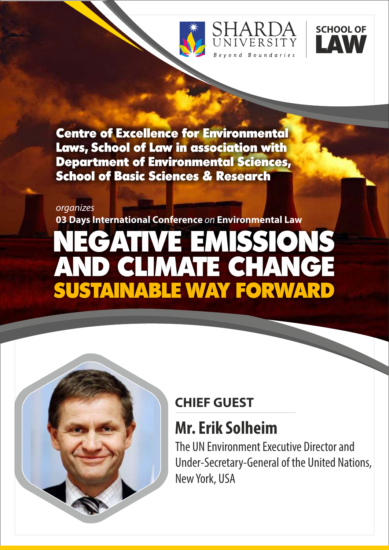





Centre of Excellence for Environmental Laws, School of Law in association with Department of Environmental Sciences, School of Basic Sciences & Research

#### organizes

**03 Days International Conference** on **Environmental Law** 

# NEGATIVE EMISSIONS AND CLIMATE CHANGE SUSTAINABLE WAY FORWARD

## **CHIEF GUEST**

# **Mr. Erik Solheim**

The UN Environment Executive Director and Under-Secretary-General of the United Nations, New York, USA